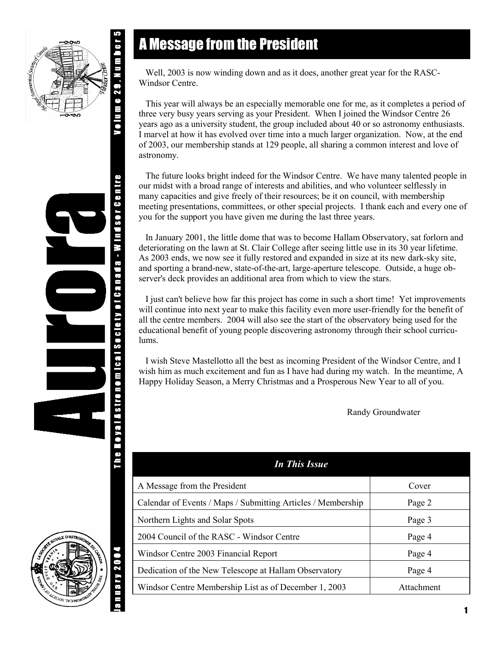

**ailos de Centro** 

Astronomical Society of Canada - Wi

# A Message from the President

 Well, 2003 is now winding down and as it does, another great year for the RASC-Windsor Centre.

 This year will always be an especially memorable one for me, as it completes a period of three very busy years serving as your President. When I joined the Windsor Centre 26 years ago as a university student, the group included about 40 or so astronomy enthusiasts. I marvel at how it has evolved over time into a much larger organization. Now, at the end of 2003, our membership stands at 129 people, all sharing a common interest and love of astronomy.

 The future looks bright indeed for the Windsor Centre. We have many talented people in our midst with a broad range of interests and abilities, and who volunteer selflessly in many capacities and give freely of their resources; be it on council, with membership meeting presentations, committees, or other special projects. I thank each and every one of you for the support you have given me during the last three years.

 In January 2001, the little dome that was to become Hallam Observatory, sat forlorn and deteriorating on the lawn at St. Clair College after seeing little use in its 30 year lifetime. As 2003 ends, we now see it fully restored and expanded in size at its new dark-sky site, and sporting a brand-new, state-of-the-art, large-aperture telescope. Outside, a huge observer's deck provides an additional area from which to view the stars.

 I just can't believe how far this project has come in such a short time! Yet improvements will continue into next year to make this facility even more user-friendly for the benefit of all the centre members. 2004 will also see the start of the observatory being used for the educational benefit of young people discovering astronomy through their school curriculums.

 I wish Steve Mastellotto all the best as incoming President of the Windsor Centre, and I wish him as much excitement and fun as I have had during my watch. In the meantime, A Happy Holiday Season, a Merry Christmas and a Prosperous New Year to all of you.

Randy Groundwater

| <b>In This Issue</b>                                         |            |  |
|--------------------------------------------------------------|------------|--|
| A Message from the President                                 | Cover      |  |
| Calendar of Events / Maps / Submitting Articles / Membership | Page 2     |  |
| Northern Lights and Solar Spots                              | Page 3     |  |
| 2004 Council of the RASC - Windsor Centre                    | Page 4     |  |
| Windsor Centre 2003 Financial Report                         | Page 4     |  |
| Dedication of the New Telescope at Hallam Observatory        | Page 4     |  |
| Windsor Centre Membership List as of December 1, 2003        | Attachment |  |

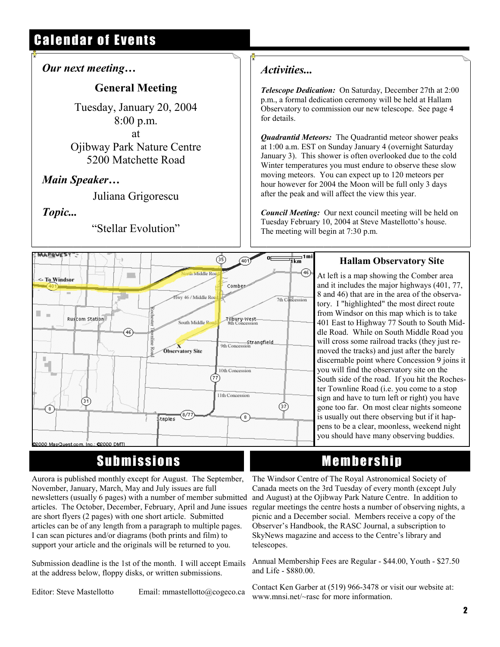# Calendar of Events

#### *Our next meeting…*

### **General Meeting**

Tuesday, January 20, 2004 8:00 p.m. at Ojibway Park Nature Centre 5200 Matchette Road

### *Main Speaker…*

Juliana Grigorescu

#### *Topic...*

"Stellar Evolution"

### *Activities...*

 $\overline{\mathbf{g}}$ 

*Telescope Dedication:* On Saturday, December 27th at 2:00 p.m., a formal dedication ceremony will be held at Hallam Observatory to commission our new telescope. See page 4 for details.

*Quadrantid Meteors:* The Quadrantid meteor shower peaks at 1:00 a.m. EST on Sunday January 4 (overnight Saturday January 3). This shower is often overlooked due to the cold Winter temperatures you must endure to observe these slow moving meteors. You can expect up to 120 meteors per hour however for 2004 the Moon will be full only 3 days after the peak and will affect the view this year.

*Council Meeting:* Our next council meeting will be held on Tuesday February 10, 2004 at Steve Mastellotto's house. The meeting will begin at 7:30 p.m.



## Submissions

Aurora is published monthly except for August. The September, November, January, March, May and July issues are full newsletters (usually 6 pages) with a number of member submitted articles. The October, December, February, April and June issues are short flyers (2 pages) with one short article. Submitted articles can be of any length from a paragraph to multiple pages. I can scan pictures and/or diagrams (both prints and film) to support your article and the originals will be returned to you.

Submission deadline is the 1st of the month. I will accept Emails at the address below, floppy disks, or written submissions.

Editor: Steve Mastellotto Email: mmastellotto@cogeco.ca

#### **Hallam Observatory Site**

At left is a map showing the Comber area and it includes the major highways (401, 77, 8 and 46) that are in the area of the observatory. I "highlighted" the most direct route from Windsor on this map which is to take 401 East to Highway 77 South to South Middle Road. While on South Middle Road you will cross some railroad tracks (they just removed the tracks) and just after the barely discernable point where Concession 9 joins it you will find the observatory site on the South side of the road. If you hit the Rochester Townline Road (i.e. you come to a stop sign and have to turn left or right) you have gone too far. On most clear nights someone is usually out there observing but if it happens to be a clear, moonless, weekend night you should have many observing buddies.

## Membership

The Windsor Centre of The Royal Astronomical Society of Canada meets on the 3rd Tuesday of every month (except July and August) at the Ojibway Park Nature Centre. In addition to regular meetings the centre hosts a number of observing nights, a picnic and a December social. Members receive a copy of the Observer's Handbook, the RASC Journal, a subscription to SkyNews magazine and access to the Centre's library and telescopes.

Annual Membership Fees are Regular - \$44.00, Youth - \$27.50 and Life - \$880.00.

Contact Ken Garber at (519) 966-3478 or visit our website at: www.mnsi.net/~rasc for more information.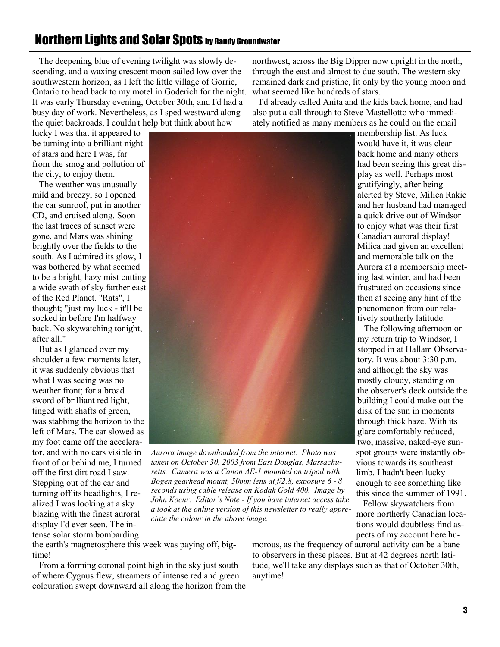alerted by Steve, Milica Rakic and her husband had managed a quick drive out of Windsor to enjoy what was their first Canadian auroral display! Milica had given an excellent and memorable talk on the Aurora at a membership meeting last winter, and had been frustrated on occasions since

membership list. As luck would have it, it was clear back home and many others had been seeing this great display as well. Perhaps most gratifyingly, after being

northwest, across the Big Dipper now upright in the north, through the east and almost to due south. The western sky remained dark and pristine, lit only by the young moon and

 I'd already called Anita and the kids back home, and had also put a call through to Steve Mastellotto who immediately notified as many members as he could on the email

what seemed like hundreds of stars.

phenomenon from our relatively southerly latitude. The following afternoon on my return trip to Windsor, I

then at seeing any hint of the

stopped in at Hallam Observatory. It was about 3:30 p.m. and although the sky was mostly cloudy, standing on the observer's deck outside the building I could make out the disk of the sun in moments through thick haze. With its glare comfortably reduced, two, massive, naked-eye sunspot groups were instantly obvious towards its southeast limb. I hadn't been lucky enough to see something like this since the summer of 1991.

 Fellow skywatchers from more northerly Canadian locations would doubtless find aspects of my account here hu-

*Aurora image downloaded from the internet. Photo was* 

*taken on October 30, 2003 from East Douglas, Massachusetts. Camera was a Canon AE-1 mounted on tripod with Bogen gearhead mount, 50mm lens at f/2.8, exposure 6 - 8 seconds using cable release on Kodak Gold 400. Image by John Kocur. Editor's Note - If you have internet access take a look at the online version of this newsletter to really appreciate the colour in the above image.* 

the earth's magnetosphere this week was paying off, big- From a forming coronal point high in the sky just south of where Cygnus flew, streamers of intense red and green morous, as the frequency of auroral activity can be a bane to observers in these places. But at 42 degrees north latitude, we'll take any displays such as that of October 30th, anytime!

to be a bright, hazy mist cutting a wide swath of sky farther east

 But as I glanced over my shoulder a few moments later, it was suddenly obvious that what I was seeing was no weather front; for a broad sword of brilliant red light, tinged with shafts of green, was stabbing the horizon to the left of Mars. The car slowed as my foot came off the accelerator, and with no cars visible in front of or behind me, I turned off the first dirt road I saw. Stepping out of the car and turning off its headlights, I realized I was looking at a sky blazing with the finest auroral display I'd ever seen. The intense solar storm bombarding

colouration swept downward all along the horizon from the

time!

 The deepening blue of evening twilight was slowly descending, and a waxing crescent moon sailed low over the southwestern horizon, as I left the little village of Gorrie, Ontario to head back to my motel in Goderich for the night. It was early Thursday evening, October 30th, and I'd had a busy day of work. Nevertheless, as I sped westward along the quiet backroads, I couldn't help but think about how

lucky I was that it appeared to be turning into a brilliant night of stars and here I was, far from the smog and pollution of the city, to enjoy them.

 The weather was unusually mild and breezy, so I opened the car sunroof, put in another CD, and cruised along. Soon the last traces of sunset were gone, and Mars was shining brightly over the fields to the south. As I admired its glow, I was bothered by what seemed of the Red Planet. "Rats", I thought; "just my luck - it'll be socked in before I'm halfway back. No skywatching tonight, after all."